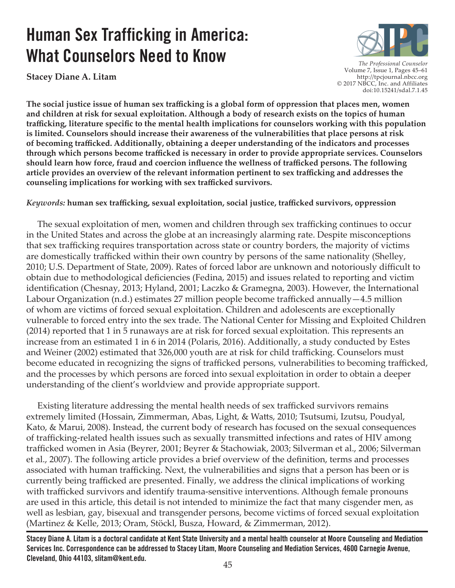# **Human Sex Trafficking in America: What Counselors Need to Know**

**Stacey Diane A. Litam** 



*The Professional Counselor*  Volume 7, Issue 1, Pages 45–61 http://tpcjournal.nbcc.org © 2017 NBCC, Inc. and Affiliates doi:10.15241/sdal.7.1.45

**The social justice issue of human sex trafficking is a global form of oppression that places men, women and children at risk for sexual exploitation. Although a body of research exists on the topics of human trafficking, literature specific to the mental health implications for counselors working with this population is limited. Counselors should increase their awareness of the vulnerabilities that place persons at risk of becoming trafficked. Additionally, obtaining a deeper understanding of the indicators and processes through which persons become trafficked is necessary in order to provide appropriate services. Counselors should learn how force, fraud and coercion influence the wellness of trafficked persons. The following article provides an overview of the relevant information pertinent to sex trafficking and addresses the counseling implications for working with sex trafficked survivors.**

## *Keywords:* **human sex trafficking, sexual exploitation, social justice, trafficked survivors, oppression**

 The sexual exploitation of men, women and children through sex trafficking continues to occur in the United States and across the globe at an increasingly alarming rate. Despite misconceptions that sex trafficking requires transportation across state or country borders, the majority of victims are domestically trafficked within their own country by persons of the same nationality (Shelley, 2010; U.S. Department of State, 2009). Rates of forced labor are unknown and notoriously difficult to obtain due to methodological deficiencies (Fedina, 2015) and issues related to reporting and victim identification (Chesnay, 2013; Hyland, 2001; Laczko & Gramegna, 2003). However, the International Labour Organization (n.d.) estimates 27 million people become trafficked annually—4.5 million of whom are victims of forced sexual exploitation. Children and adolescents are exceptionally vulnerable to forced entry into the sex trade. The National Center for Missing and Exploited Children (2014) reported that 1 in 5 runaways are at risk for forced sexual exploitation. This represents an increase from an estimated 1 in 6 in 2014 (Polaris, 2016). Additionally, a study conducted by Estes and Weiner (2002) estimated that 326,000 youth are at risk for child trafficking. Counselors must become educated in recognizing the signs of trafficked persons, vulnerabilities to becoming trafficked, and the processes by which persons are forced into sexual exploitation in order to obtain a deeper understanding of the client's worldview and provide appropriate support.

 Existing literature addressing the mental health needs of sex trafficked survivors remains extremely limited (Hossain, Zimmerman, Abas, Light, & Watts, 2010; Tsutsumi, Izutsu, Poudyal, Kato, & Marui, 2008). Instead, the current body of research has focused on the sexual consequences of trafficking-related health issues such as sexually transmitted infections and rates of HIV among trafficked women in Asia (Beyrer, 2001; Beyrer & Stachowiak, 2003; Silverman et al., 2006; Silverman et al., 2007). The following article provides a brief overview of the definition, terms and processes associated with human trafficking. Next, the vulnerabilities and signs that a person has been or is currently being trafficked are presented. Finally, we address the clinical implications of working with trafficked survivors and identify trauma-sensitive interventions. Although female pronouns are used in this article, this detail is not intended to minimize the fact that many cisgender men, as well as lesbian, gay, bisexual and transgender persons, become victims of forced sexual exploitation (Martinez & Kelle, 2013; Oram, Stöckl, Busza, Howard, & Zimmerman, 2012).

**Stacey Diane A. Litam is a doctoral candidate at Kent State University and a mental health counselor at Moore Counseling and Mediation Services Inc. Correspondence can be addressed to Stacey Litam, Moore Counseling and Mediation Services, 4600 Carnegie Avenue, Cleveland, Ohio 44103, slitam@kent.edu.**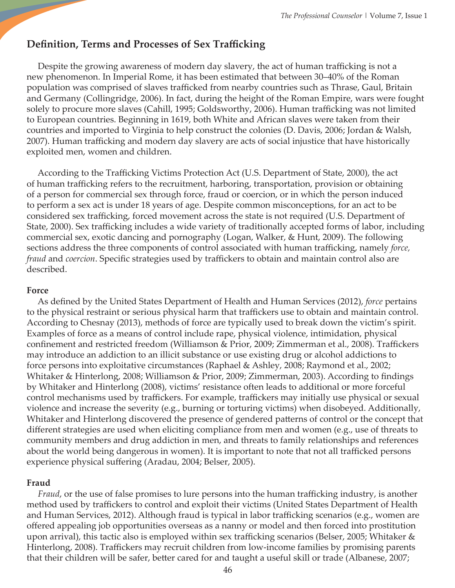# **Definition, Terms and Processes of Sex Trafficking**

 Despite the growing awareness of modern day slavery, the act of human trafficking is not a new phenomenon. In Imperial Rome, it has been estimated that between 30–40% of the Roman population was comprised of slaves trafficked from nearby countries such as Thrase, Gaul, Britain and Germany (Collingridge, 2006). In fact, during the height of the Roman Empire, wars were fought solely to procure more slaves (Cahill, 1995; Goldsworthy, 2006). Human trafficking was not limited to European countries. Beginning in 1619, both White and African slaves were taken from their countries and imported to Virginia to help construct the colonies (D. Davis, 2006; Jordan & Walsh, 2007). Human trafficking and modern day slavery are acts of social injustice that have historically exploited men, women and children.

 According to the Trafficking Victims Protection Act (U.S. Department of State, 2000), the act of human trafficking refers to the recruitment, harboring, transportation, provision or obtaining of a person for commercial sex through force, fraud or coercion, or in which the person induced to perform a sex act is under 18 years of age. Despite common misconceptions, for an act to be considered sex trafficking, forced movement across the state is not required (U.S. Department of State, 2000). Sex trafficking includes a wide variety of traditionally accepted forms of labor, including commercial sex, exotic dancing and pornography (Logan, Walker, & Hunt, 2009). The following sections address the three components of control associated with human trafficking, namely *force, fraud* and *coercion*. Specific strategies used by traffickers to obtain and maintain control also are described.

#### **Force**

 As defined by the United States Department of Health and Human Services (2012), *force* pertains to the physical restraint or serious physical harm that traffickers use to obtain and maintain control. According to Chesnay (2013), methods of force are typically used to break down the victim's spirit. Examples of force as a means of control include rape, physical violence, intimidation, physical confinement and restricted freedom (Williamson & Prior, 2009; Zimmerman et al., 2008). Traffickers may introduce an addiction to an illicit substance or use existing drug or alcohol addictions to force persons into exploitative circumstances (Raphael & Ashley, 2008; Raymond et al., 2002; Whitaker & Hinterlong, 2008; Williamson & Prior, 2009; Zimmerman, 2003). According to findings by Whitaker and Hinterlong (2008), victims' resistance often leads to additional or more forceful control mechanisms used by traffickers. For example, traffickers may initially use physical or sexual violence and increase the severity (e.g., burning or torturing victims) when disobeyed. Additionally, Whitaker and Hinterlong discovered the presence of gendered patterns of control or the concept that different strategies are used when eliciting compliance from men and women (e.g., use of threats to community members and drug addiction in men, and threats to family relationships and references about the world being dangerous in women). It is important to note that not all trafficked persons experience physical suffering (Aradau, 2004; Belser, 2005).

#### **Fraud**

*Fraud*, or the use of false promises to lure persons into the human trafficking industry, is another method used by traffickers to control and exploit their victims (United States Department of Health and Human Services, 2012). Although fraud is typical in labor trafficking scenarios (e.g., women are offered appealing job opportunities overseas as a nanny or model and then forced into prostitution upon arrival), this tactic also is employed within sex trafficking scenarios (Belser, 2005; Whitaker & Hinterlong, 2008). Traffickers may recruit children from low-income families by promising parents that their children will be safer, better cared for and taught a useful skill or trade (Albanese, 2007;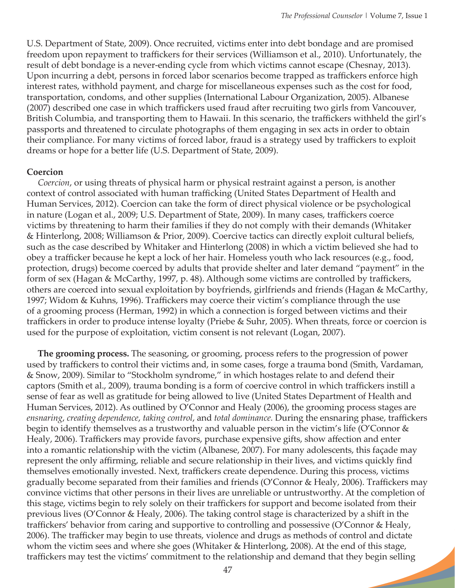U.S. Department of State, 2009). Once recruited, victims enter into debt bondage and are promised freedom upon repayment to traffickers for their services (Williamson et al., 2010). Unfortunately, the result of debt bondage is a never-ending cycle from which victims cannot escape (Chesnay, 2013). Upon incurring a debt, persons in forced labor scenarios become trapped as traffickers enforce high interest rates, withhold payment, and charge for miscellaneous expenses such as the cost for food, transportation, condoms, and other supplies (International Labour Organization, 2005). Albanese (2007) described one case in which traffickers used fraud after recruiting two girls from Vancouver, British Columbia, and transporting them to Hawaii. In this scenario, the traffickers withheld the girl's passports and threatened to circulate photographs of them engaging in sex acts in order to obtain their compliance. For many victims of forced labor, fraud is a strategy used by traffickers to exploit dreams or hope for a better life (U.S. Department of State, 2009).

#### **Coercion**

*Coercion*, or using threats of physical harm or physical restraint against a person, is another context of control associated with human trafficking (United States Department of Health and Human Services, 2012). Coercion can take the form of direct physical violence or be psychological in nature (Logan et al., 2009; U.S. Department of State, 2009). In many cases, traffickers coerce victims by threatening to harm their families if they do not comply with their demands (Whitaker & Hinterlong, 2008; Williamson & Prior, 2009). Coercive tactics can directly exploit cultural beliefs, such as the case described by Whitaker and Hinterlong (2008) in which a victim believed she had to obey a trafficker because he kept a lock of her hair. Homeless youth who lack resources (e.g., food, protection, drugs) become coerced by adults that provide shelter and later demand "payment" in the form of sex (Hagan & McCarthy, 1997, p. 48). Although some victims are controlled by traffickers, others are coerced into sexual exploitation by boyfriends, girlfriends and friends (Hagan & McCarthy, 1997; Widom & Kuhns, 1996). Traffickers may coerce their victim's compliance through the use of a grooming process (Herman, 1992) in which a connection is forged between victims and their traffickers in order to produce intense loyalty (Priebe & Suhr, 2005). When threats, force or coercion is used for the purpose of exploitation, victim consent is not relevant (Logan, 2007).

 **The grooming process.** The seasoning, or grooming, process refers to the progression of power used by traffickers to control their victims and, in some cases, forge a trauma bond (Smith, Vardaman, & Snow, 2009). Similar to "Stockholm syndrome," in which hostages relate to and defend their captors (Smith et al., 2009), trauma bonding is a form of coercive control in which traffickers instill a sense of fear as well as gratitude for being allowed to live (United States Department of Health and Human Services, 2012). As outlined by O'Connor and Healy (2006), the grooming process stages are *ensnaring*, *creating dependence*, *taking control*, and *total dominance.* During the ensnaring phase, traffickers begin to identify themselves as a trustworthy and valuable person in the victim's life (O'Connor & Healy, 2006). Traffickers may provide favors, purchase expensive gifts, show affection and enter into a romantic relationship with the victim (Albanese, 2007). For many adolescents, this façade may represent the only affirming, reliable and secure relationship in their lives, and victims quickly find themselves emotionally invested. Next, traffickers create dependence. During this process, victims gradually become separated from their families and friends (O'Connor & Healy, 2006). Traffickers may convince victims that other persons in their lives are unreliable or untrustworthy. At the completion of this stage, victims begin to rely solely on their traffickers for support and become isolated from their previous lives (O'Connor & Healy, 2006). The taking control stage is characterized by a shift in the traffickers' behavior from caring and supportive to controlling and possessive (O'Connor & Healy, 2006). The trafficker may begin to use threats, violence and drugs as methods of control and dictate whom the victim sees and where she goes (Whitaker & Hinterlong, 2008). At the end of this stage, traffickers may test the victims' commitment to the relationship and demand that they begin selling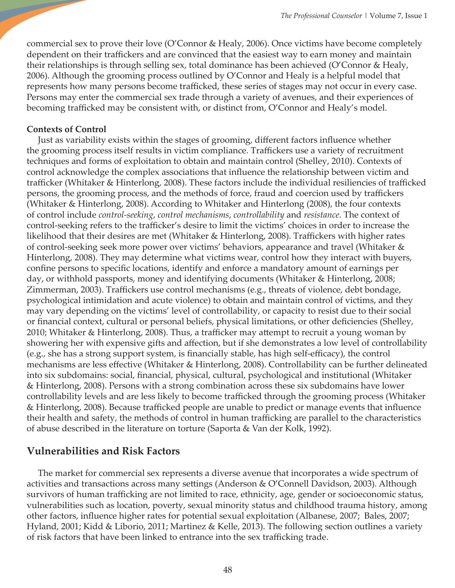commercial sex to prove their love (O'Connor & Healy, 2006). Once victims have become completely dependent on their traffickers and are convinced that the easiest way to earn money and maintain their relationships is through selling sex, total dominance has been achieved (O'Connor & Healy, 2006). Although the grooming process outlined by O'Connor and Healy is a helpful model that represents how many persons become trafficked, these series of stages may not occur in every case. Persons may enter the commercial sex trade through a variety of avenues, and their experiences of becoming trafficked may be consistent with, or distinct from, O'Connor and Healy's model.

## **Contexts of Control**

 Just as variability exists within the stages of grooming, different factors influence whether the grooming process itself results in victim compliance. Traffickers use a variety of recruitment techniques and forms of exploitation to obtain and maintain control (Shelley, 2010). Contexts of control acknowledge the complex associations that influence the relationship between victim and trafficker (Whitaker & Hinterlong, 2008). These factors include the individual resiliencies of trafficked persons, the grooming process, and the methods of force, fraud and coercion used by traffickers (Whitaker & Hinterlong, 2008). According to Whitaker and Hinterlong (2008), the four contexts of control include *control-seeking*, *control mechanisms*, *controllability* and *resistance.* The context of control-seeking refers to the trafficker's desire to limit the victims' choices in order to increase the likelihood that their desires are met (Whitaker & Hinterlong, 2008). Traffickers with higher rates of control-seeking seek more power over victims' behaviors, appearance and travel (Whitaker & Hinterlong, 2008). They may determine what victims wear, control how they interact with buyers, confine persons to specific locations, identify and enforce a mandatory amount of earnings per day, or withhold passports, money and identifying documents (Whitaker & Hinterlong, 2008; Zimmerman, 2003). Traffickers use control mechanisms (e.g., threats of violence, debt bondage, psychological intimidation and acute violence) to obtain and maintain control of victims, and they may vary depending on the victims' level of controllability, or capacity to resist due to their social or financial context, cultural or personal beliefs, physical limitations, or other deficiencies (Shelley, 2010; Whitaker & Hinterlong, 2008). Thus, a trafficker may attempt to recruit a young woman by showering her with expensive gifts and affection, but if she demonstrates a low level of controllability (e.g., she has a strong support system, is financially stable, has high self-efficacy), the control mechanisms are less effective (Whitaker & Hinterlong, 2008). Controllability can be further delineated into six subdomains: social, financial, physical, cultural, psychological and institutional (Whitaker & Hinterlong, 2008). Persons with a strong combination across these six subdomains have lower controllability levels and are less likely to become trafficked through the grooming process (Whitaker & Hinterlong, 2008). Because trafficked people are unable to predict or manage events that influence their health and safety, the methods of control in human trafficking are parallel to the characteristics of abuse described in the literature on torture (Saporta & Van der Kolk, 1992).

# **Vulnerabilities and Risk Factors**

The market for commercial sex represents a diverse avenue that incorporates a wide spectrum of activities and transactions across many settings (Anderson & O'Connell Davidson, 2003). Although survivors of human trafficking are not limited to race, ethnicity, age, gender or socioeconomic status, vulnerabilities such as location, poverty, sexual minority status and childhood trauma history, among other factors, influence higher rates for potential sexual exploitation (Albanese, 2007; Bales, 2007; Hyland, 2001; Kidd & Liborio, 2011; Martinez & Kelle, 2013). The following section outlines a variety of risk factors that have been linked to entrance into the sex trafficking trade.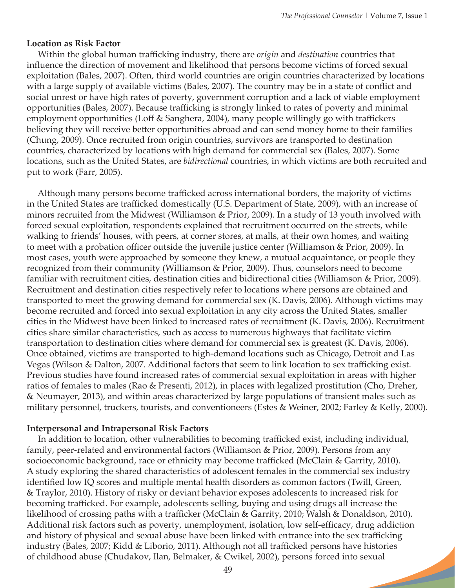#### **Location as Risk Factor**

 Within the global human trafficking industry, there are *origin* and *destination* countries that influence the direction of movement and likelihood that persons become victims of forced sexual exploitation (Bales, 2007). Often, third world countries are origin countries characterized by locations with a large supply of available victims (Bales, 2007). The country may be in a state of conflict and social unrest or have high rates of poverty, government corruption and a lack of viable employment opportunities (Bales, 2007). Because trafficking is strongly linked to rates of poverty and minimal employment opportunities (Loff & Sanghera, 2004), many people willingly go with traffickers believing they will receive better opportunities abroad and can send money home to their families (Chung, 2009). Once recruited from origin countries, survivors are transported to destination countries, characterized by locations with high demand for commercial sex (Bales, 2007). Some locations, such as the United States, are *bidirectional* countries, in which victims are both recruited and put to work (Farr, 2005).

 Although many persons become trafficked across international borders, the majority of victims in the United States are trafficked domestically (U.S. Department of State, 2009), with an increase of minors recruited from the Midwest (Williamson & Prior, 2009). In a study of 13 youth involved with forced sexual exploitation, respondents explained that recruitment occurred on the streets, while walking to friends' houses, with peers, at corner stores, at malls, at their own homes, and waiting to meet with a probation officer outside the juvenile justice center (Williamson & Prior, 2009). In most cases, youth were approached by someone they knew, a mutual acquaintance, or people they recognized from their community (Williamson & Prior, 2009). Thus, counselors need to become familiar with recruitment cities, destination cities and bidirectional cities (Williamson & Prior, 2009). Recruitment and destination cities respectively refer to locations where persons are obtained and transported to meet the growing demand for commercial sex (K. Davis, 2006). Although victims may become recruited and forced into sexual exploitation in any city across the United States, smaller cities in the Midwest have been linked to increased rates of recruitment (K. Davis, 2006). Recruitment cities share similar characteristics, such as access to numerous highways that facilitate victim transportation to destination cities where demand for commercial sex is greatest (K. Davis, 2006). Once obtained, victims are transported to high-demand locations such as Chicago, Detroit and Las Vegas (Wilson & Dalton, 2007. Additional factors that seem to link location to sex trafficking exist. Previous studies have found increased rates of commercial sexual exploitation in areas with higher ratios of females to males (Rao & Presenti, 2012), in places with legalized prostitution (Cho, Dreher, & Neumayer, 2013), and within areas characterized by large populations of transient males such as military personnel, truckers, tourists, and conventioneers (Estes & Weiner, 2002; Farley & Kelly, 2000).

#### **Interpersonal and Intrapersonal Risk Factors**

In addition to location, other vulnerabilities to becoming trafficked exist, including individual, family, peer-related and environmental factors (Williamson & Prior, 2009). Persons from any socioeconomic background, race or ethnicity may become trafficked (McClain & Garrity, 2010). A study exploring the shared characteristics of adolescent females in the commercial sex industry identified low IQ scores and multiple mental health disorders as common factors (Twill, Green, & Traylor, 2010). History of risky or deviant behavior exposes adolescents to increased risk for becoming trafficked. For example, adolescents selling, buying and using drugs all increase the likelihood of crossing paths with a trafficker (McClain & Garrity, 2010; Walsh & Donaldson, 2010). Additional risk factors such as poverty, unemployment, isolation, low self-efficacy, drug addiction and history of physical and sexual abuse have been linked with entrance into the sex trafficking industry (Bales, 2007; Kidd & Liborio, 2011). Although not all trafficked persons have histories of childhood abuse (Chudakov, Ilan, Belmaker, & Cwikel, 2002), persons forced into sexual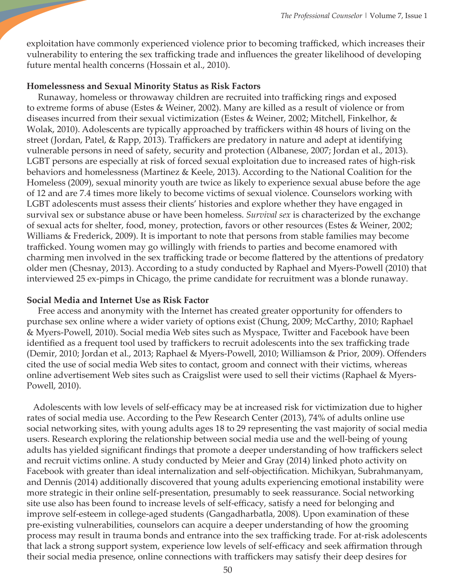exploitation have commonly experienced violence prior to becoming trafficked, which increases their vulnerability to entering the sex trafficking trade and influences the greater likelihood of developing future mental health concerns (Hossain et al., 2010).

#### **Homelessness and Sexual Minority Status as Risk Factors**

 Runaway, homeless or throwaway children are recruited into trafficking rings and exposed to extreme forms of abuse (Estes & Weiner, 2002). Many are killed as a result of violence or from diseases incurred from their sexual victimization (Estes & Weiner, 2002; Mitchell, Finkelhor, & Wolak, 2010). Adolescents are typically approached by traffickers within 48 hours of living on the street (Jordan, Patel, & Rapp, 2013). Traffickers are predatory in nature and adept at identifying vulnerable persons in need of safety, security and protection (Albanese, 2007; Jordan et al., 2013). LGBT persons are especially at risk of forced sexual exploitation due to increased rates of high-risk behaviors and homelessness (Martinez & Keele, 2013). According to the National Coalition for the Homeless (2009), sexual minority youth are twice as likely to experience sexual abuse before the age of 12 and are 7.4 times more likely to become victims of sexual violence. Counselors working with LGBT adolescents must assess their clients' histories and explore whether they have engaged in survival sex or substance abuse or have been homeless. *Survival sex* is characterized by the exchange of sexual acts for shelter, food, money, protection, favors or other resources (Estes & Weiner, 2002; Williams & Frederick, 2009). It is important to note that persons from stable families may become trafficked. Young women may go willingly with friends to parties and become enamored with charming men involved in the sex trafficking trade or become flattered by the attentions of predatory older men (Chesnay, 2013). According to a study conducted by Raphael and Myers-Powell (2010) that interviewed 25 ex-pimps in Chicago, the prime candidate for recruitment was a blonde runaway.

## **Social Media and Internet Use as Risk Factor**

 Free access and anonymity with the Internet has created greater opportunity for offenders to purchase sex online where a wider variety of options exist (Chung, 2009; McCarthy, 2010; Raphael & Myers-Powell, 2010). Social media Web sites such as Myspace, Twitter and Facebook have been identified as a frequent tool used by traffickers to recruit adolescents into the sex trafficking trade (Demir, 2010; Jordan et al., 2013; Raphael & Myers-Powell, 2010; Williamson & Prior, 2009). Offenders cited the use of social media Web sites to contact, groom and connect with their victims, whereas online advertisement Web sites such as Craigslist were used to sell their victims (Raphael & Myers-Powell, 2010).

 Adolescents with low levels of self-efficacy may be at increased risk for victimization due to higher rates of social media use. According to the Pew Research Center (2013), 74% of adults online use social networking sites, with young adults ages 18 to 29 representing the vast majority of social media users. Research exploring the relationship between social media use and the well-being of young adults has yielded significant findings that promote a deeper understanding of how traffickers select and recruit victims online. A study conducted by Meier and Gray (2014) linked photo activity on Facebook with greater than ideal internalization and self-objectification. Michikyan, Subrahmanyam, and Dennis (2014) additionally discovered that young adults experiencing emotional instability were more strategic in their online self-presentation, presumably to seek reassurance. Social networking site use also has been found to increase levels of self-efficacy, satisfy a need for belonging and improve self-esteem in college-aged students (Gangadharbatla, 2008). Upon examination of these pre-existing vulnerabilities, counselors can acquire a deeper understanding of how the grooming process may result in trauma bonds and entrance into the sex trafficking trade. For at-risk adolescents that lack a strong support system, experience low levels of self-efficacy and seek affirmation through their social media presence, online connections with traffickers may satisfy their deep desires for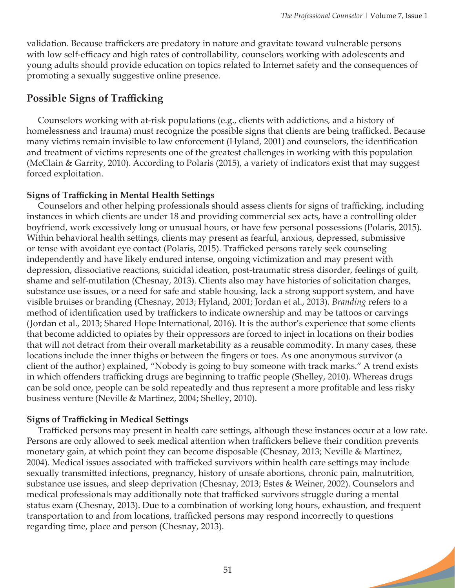validation. Because traffickers are predatory in nature and gravitate toward vulnerable persons with low self-efficacy and high rates of controllability, counselors working with adolescents and young adults should provide education on topics related to Internet safety and the consequences of promoting a sexually suggestive online presence.

# **Possible Signs of Trafficking**

 Counselors working with at-risk populations (e.g., clients with addictions, and a history of homelessness and trauma) must recognize the possible signs that clients are being trafficked. Because many victims remain invisible to law enforcement (Hyland, 2001) and counselors, the identification and treatment of victims represents one of the greatest challenges in working with this population (McClain & Garrity, 2010). According to Polaris (2015), a variety of indicators exist that may suggest forced exploitation.

## **Signs of Trafficking in Mental Health Settings**

 Counselors and other helping professionals should assess clients for signs of trafficking, including instances in which clients are under 18 and providing commercial sex acts, have a controlling older boyfriend, work excessively long or unusual hours, or have few personal possessions (Polaris, 2015). Within behavioral health settings, clients may present as fearful, anxious, depressed, submissive or tense with avoidant eye contact (Polaris, 2015). Trafficked persons rarely seek counseling independently and have likely endured intense, ongoing victimization and may present with depression, dissociative reactions, suicidal ideation, post-traumatic stress disorder, feelings of guilt, shame and self-mutilation (Chesnay, 2013). Clients also may have histories of solicitation charges, substance use issues, or a need for safe and stable housing, lack a strong support system, and have visible bruises or branding (Chesnay, 2013; Hyland, 2001; Jordan et al., 2013). *Branding* refers to a method of identification used by traffickers to indicate ownership and may be tattoos or carvings (Jordan et al., 2013; Shared Hope International, 2016). It is the author's experience that some clients that become addicted to opiates by their oppressors are forced to inject in locations on their bodies that will not detract from their overall marketability as a reusable commodity. In many cases, these locations include the inner thighs or between the fingers or toes. As one anonymous survivor (a client of the author) explained, "Nobody is going to buy someone with track marks." A trend exists in which offenders trafficking drugs are beginning to traffic people (Shelley, 2010). Whereas drugs can be sold once, people can be sold repeatedly and thus represent a more profitable and less risky business venture (Neville & Martinez, 2004; Shelley, 2010).

# **Signs of Trafficking in Medical Settings**

 Trafficked persons may present in health care settings, although these instances occur at a low rate. Persons are only allowed to seek medical attention when traffickers believe their condition prevents monetary gain, at which point they can become disposable (Chesnay, 2013; Neville & Martinez, 2004). Medical issues associated with trafficked survivors within health care settings may include sexually transmitted infections, pregnancy, history of unsafe abortions, chronic pain, malnutrition, substance use issues, and sleep deprivation (Chesnay, 2013; Estes & Weiner, 2002). Counselors and medical professionals may additionally note that trafficked survivors struggle during a mental status exam (Chesnay, 2013). Due to a combination of working long hours, exhaustion, and frequent transportation to and from locations, trafficked persons may respond incorrectly to questions regarding time, place and person (Chesnay, 2013).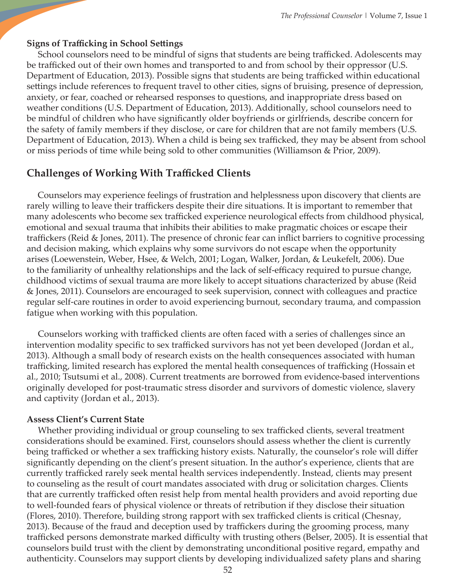## **Signs of Trafficking in School Settings**

 School counselors need to be mindful of signs that students are being trafficked. Adolescents may be trafficked out of their own homes and transported to and from school by their oppressor (U.S. Department of Education, 2013). Possible signs that students are being trafficked within educational settings include references to frequent travel to other cities, signs of bruising, presence of depression, anxiety, or fear, coached or rehearsed responses to questions, and inappropriate dress based on weather conditions (U.S. Department of Education, 2013). Additionally, school counselors need to be mindful of children who have significantly older boyfriends or girlfriends, describe concern for the safety of family members if they disclose, or care for children that are not family members (U.S. Department of Education, 2013). When a child is being sex trafficked, they may be absent from school or miss periods of time while being sold to other communities (Williamson & Prior, 2009).

# **Challenges of Working With Trafficked Clients**

 Counselors may experience feelings of frustration and helplessness upon discovery that clients are rarely willing to leave their traffickers despite their dire situations. It is important to remember that many adolescents who become sex trafficked experience neurological effects from childhood physical, emotional and sexual trauma that inhibits their abilities to make pragmatic choices or escape their traffickers (Reid & Jones, 2011). The presence of chronic fear can inflict barriers to cognitive processing and decision making, which explains why some survivors do not escape when the opportunity arises (Loewenstein, Weber, Hsee, & Welch, 2001; Logan, Walker, Jordan, & Leukefelt, 2006). Due to the familiarity of unhealthy relationships and the lack of self-efficacy required to pursue change, childhood victims of sexual trauma are more likely to accept situations characterized by abuse (Reid & Jones, 2011). Counselors are encouraged to seek supervision, connect with colleagues and practice regular self-care routines in order to avoid experiencing burnout, secondary trauma, and compassion fatigue when working with this population.

 Counselors working with trafficked clients are often faced with a series of challenges since an intervention modality specific to sex trafficked survivors has not yet been developed (Jordan et al., 2013). Although a small body of research exists on the health consequences associated with human trafficking, limited research has explored the mental health consequences of trafficking (Hossain et al., 2010; Tsutsumi et al., 2008). Current treatments are borrowed from evidence-based interventions originally developed for post-traumatic stress disorder and survivors of domestic violence, slavery and captivity (Jordan et al., 2013).

#### **Assess Client's Current State**

 Whether providing individual or group counseling to sex trafficked clients, several treatment considerations should be examined. First, counselors should assess whether the client is currently being trafficked or whether a sex trafficking history exists. Naturally, the counselor's role will differ significantly depending on the client's present situation. In the author's experience, clients that are currently trafficked rarely seek mental health services independently. Instead, clients may present to counseling as the result of court mandates associated with drug or solicitation charges. Clients that are currently trafficked often resist help from mental health providers and avoid reporting due to well-founded fears of physical violence or threats of retribution if they disclose their situation (Flores, 2010). Therefore, building strong rapport with sex trafficked clients is critical (Chesnay, 2013). Because of the fraud and deception used by traffickers during the grooming process, many trafficked persons demonstrate marked difficulty with trusting others (Belser, 2005). It is essential that counselors build trust with the client by demonstrating unconditional positive regard, empathy and authenticity. Counselors may support clients by developing individualized safety plans and sharing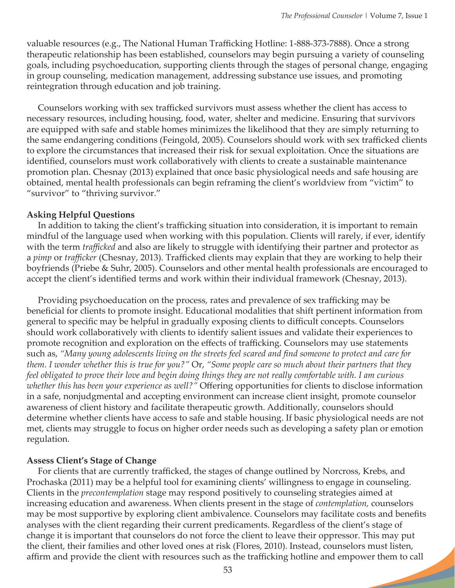valuable resources (e.g., The National Human Trafficking Hotline: 1-888-373-7888). Once a strong therapeutic relationship has been established, counselors may begin pursuing a variety of counseling goals, including psychoeducation, supporting clients through the stages of personal change, engaging in group counseling, medication management, addressing substance use issues, and promoting reintegration through education and job training.

 Counselors working with sex trafficked survivors must assess whether the client has access to necessary resources, including housing, food, water, shelter and medicine. Ensuring that survivors are equipped with safe and stable homes minimizes the likelihood that they are simply returning to the same endangering conditions (Feingold, 2005). Counselors should work with sex trafficked clients to explore the circumstances that increased their risk for sexual exploitation. Once the situations are identified, counselors must work collaboratively with clients to create a sustainable maintenance promotion plan. Chesnay (2013) explained that once basic physiological needs and safe housing are obtained, mental health professionals can begin reframing the client's worldview from "victim" to "survivor" to "thriving survivor."

#### **Asking Helpful Questions**

 In addition to taking the client's trafficking situation into consideration, it is important to remain mindful of the language used when working with this population. Clients will rarely, if ever, identify with the term *trafficked* and also are likely to struggle with identifying their partner and protector as a *pimp* or *trafficker* (Chesnay, 2013)*.* Trafficked clients may explain that they are working to help their boyfriends (Priebe & Suhr, 2005). Counselors and other mental health professionals are encouraged to accept the client's identified terms and work within their individual framework (Chesnay, 2013).

 Providing psychoeducation on the process, rates and prevalence of sex trafficking may be beneficial for clients to promote insight. Educational modalities that shift pertinent information from general to specific may be helpful in gradually exposing clients to difficult concepts. Counselors should work collaboratively with clients to identify salient issues and validate their experiences to promote recognition and exploration on the effects of trafficking. Counselors may use statements such as, *"Many young adolescents living on the streets feel scared and find someone to protect and care for them. I wonder whether this is true for you?"* Or, *"Some people care so much about their partners that they feel obligated to prove their love and begin doing things they are not really comfortable with. I am curious whether this has been your experience as well?"* Offering opportunities for clients to disclose information in a safe, nonjudgmental and accepting environment can increase client insight, promote counselor awareness of client history and facilitate therapeutic growth. Additionally, counselors should determine whether clients have access to safe and stable housing. If basic physiological needs are not met, clients may struggle to focus on higher order needs such as developing a safety plan or emotion regulation.

#### **Assess Client's Stage of Change**

 For clients that are currently trafficked, the stages of change outlined by Norcross, Krebs, and Prochaska (2011) may be a helpful tool for examining clients' willingness to engage in counseling. Clients in the *precontemplation* stage may respond positively to counseling strategies aimed at increasing education and awareness. When clients present in the stage of *contemplation,* counselors may be most supportive by exploring client ambivalence. Counselors may facilitate costs and benefits analyses with the client regarding their current predicaments. Regardless of the client's stage of change it is important that counselors do not force the client to leave their oppressor. This may put the client, their families and other loved ones at risk (Flores, 2010). Instead, counselors must listen, affirm and provide the client with resources such as the trafficking hotline and empower them to call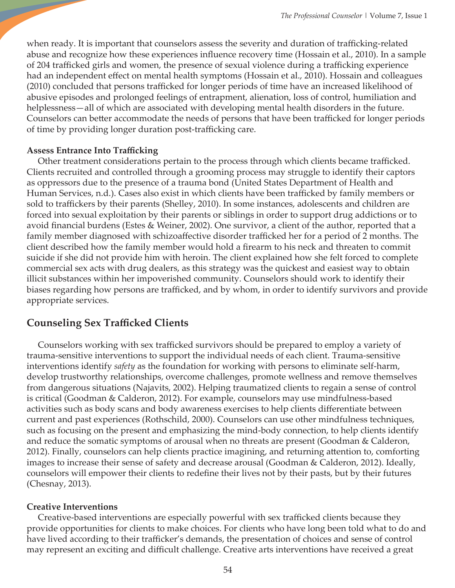when ready. It is important that counselors assess the severity and duration of trafficking-related abuse and recognize how these experiences influence recovery time (Hossain et al., 2010). In a sample of 204 trafficked girls and women, the presence of sexual violence during a trafficking experience had an independent effect on mental health symptoms (Hossain et al., 2010). Hossain and colleagues (2010) concluded that persons trafficked for longer periods of time have an increased likelihood of abusive episodes and prolonged feelings of entrapment, alienation, loss of control, humiliation and helplessness—all of which are associated with developing mental health disorders in the future. Counselors can better accommodate the needs of persons that have been trafficked for longer periods of time by providing longer duration post-trafficking care.

## **Assess Entrance Into Trafficking**

 Other treatment considerations pertain to the process through which clients became trafficked. Clients recruited and controlled through a grooming process may struggle to identify their captors as oppressors due to the presence of a trauma bond (United States Department of Health and Human Services, n.d.). Cases also exist in which clients have been trafficked by family members or sold to traffickers by their parents (Shelley, 2010). In some instances, adolescents and children are forced into sexual exploitation by their parents or siblings in order to support drug addictions or to avoid financial burdens (Estes & Weiner, 2002). One survivor, a client of the author, reported that a family member diagnosed with schizoaffective disorder trafficked her for a period of 2 months. The client described how the family member would hold a firearm to his neck and threaten to commit suicide if she did not provide him with heroin. The client explained how she felt forced to complete commercial sex acts with drug dealers, as this strategy was the quickest and easiest way to obtain illicit substances within her impoverished community. Counselors should work to identify their biases regarding how persons are trafficked, and by whom, in order to identify survivors and provide appropriate services.

# **Counseling Sex Trafficked Clients**

Counselors working with sex trafficked survivors should be prepared to employ a variety of trauma-sensitive interventions to support the individual needs of each client. Trauma-sensitive interventions identify *safety* as the foundation for working with persons to eliminate self-harm, develop trustworthy relationships, overcome challenges, promote wellness and remove themselves from dangerous situations (Najavits, 2002). Helping traumatized clients to regain a sense of control is critical (Goodman & Calderon, 2012). For example, counselors may use mindfulness-based activities such as body scans and body awareness exercises to help clients differentiate between current and past experiences (Rothschild, 2000). Counselors can use other mindfulness techniques, such as focusing on the present and emphasizing the mind-body connection, to help clients identify and reduce the somatic symptoms of arousal when no threats are present (Goodman & Calderon, 2012). Finally, counselors can help clients practice imagining, and returning attention to, comforting images to increase their sense of safety and decrease arousal (Goodman & Calderon, 2012). Ideally, counselors will empower their clients to redefine their lives not by their pasts, but by their futures (Chesnay, 2013).

## **Creative Interventions**

Creative-based interventions are especially powerful with sex trafficked clients because they provide opportunities for clients to make choices. For clients who have long been told what to do and have lived according to their trafficker's demands, the presentation of choices and sense of control may represent an exciting and difficult challenge. Creative arts interventions have received a great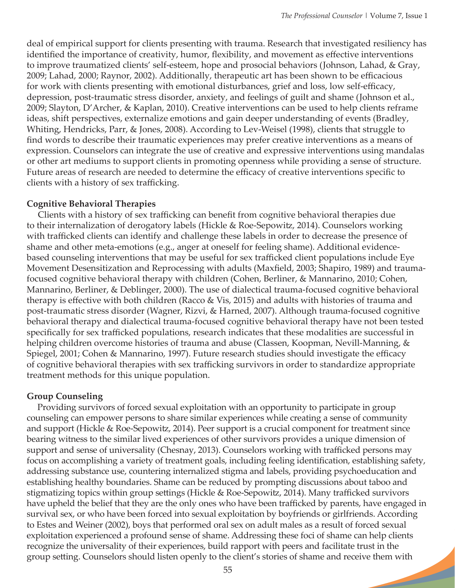deal of empirical support for clients presenting with trauma. Research that investigated resiliency has identified the importance of creativity, humor, flexibility, and movement as effective interventions to improve traumatized clients' self-esteem, hope and prosocial behaviors (Johnson, Lahad, & Gray, 2009; Lahad, 2000; Raynor, 2002). Additionally, therapeutic art has been shown to be efficacious for work with clients presenting with emotional disturbances, grief and loss, low self-efficacy, depression, post-traumatic stress disorder, anxiety, and feelings of guilt and shame (Johnson et al., 2009; Slayton, D'Archer, & Kaplan, 2010). Creative interventions can be used to help clients reframe ideas, shift perspectives, externalize emotions and gain deeper understanding of events (Bradley, Whiting, Hendricks, Parr, & Jones, 2008). According to Lev-Weisel (1998), clients that struggle to find words to describe their traumatic experiences may prefer creative interventions as a means of expression. Counselors can integrate the use of creative and expressive interventions using mandalas or other art mediums to support clients in promoting openness while providing a sense of structure. Future areas of research are needed to determine the efficacy of creative interventions specific to clients with a history of sex trafficking.

## **Cognitive Behavioral Therapies**

Clients with a history of sex trafficking can benefit from cognitive behavioral therapies due to their internalization of derogatory labels (Hickle & Roe-Sepowitz, 2014). Counselors working with trafficked clients can identify and challenge these labels in order to decrease the presence of shame and other meta-emotions (e.g., anger at oneself for feeling shame). Additional evidencebased counseling interventions that may be useful for sex trafficked client populations include Eye Movement Desensitization and Reprocessing with adults (Maxfield, 2003; Shapiro, 1989) and traumafocused cognitive behavioral therapy with children (Cohen, Berliner, & Mannarino, 2010; Cohen, Mannarino, Berliner, & Deblinger, 2000). The use of dialectical trauma-focused cognitive behavioral therapy is effective with both children (Racco & Vis, 2015) and adults with histories of trauma and post-traumatic stress disorder (Wagner, Rizvi, & Harned, 2007). Although trauma-focused cognitive behavioral therapy and dialectical trauma-focused cognitive behavioral therapy have not been tested specifically for sex trafficked populations, research indicates that these modalities are successful in helping children overcome histories of trauma and abuse (Classen, Koopman, Nevill-Manning, & Spiegel, 2001; Cohen & Mannarino, 1997). Future research studies should investigate the efficacy of cognitive behavioral therapies with sex trafficking survivors in order to standardize appropriate treatment methods for this unique population.

# **Group Counseling**

Providing survivors of forced sexual exploitation with an opportunity to participate in group counseling can empower persons to share similar experiences while creating a sense of community and support (Hickle & Roe-Sepowitz, 2014). Peer support is a crucial component for treatment since bearing witness to the similar lived experiences of other survivors provides a unique dimension of support and sense of universality (Chesnay, 2013). Counselors working with trafficked persons may focus on accomplishing a variety of treatment goals, including feeling identification, establishing safety, addressing substance use, countering internalized stigma and labels, providing psychoeducation and establishing healthy boundaries. Shame can be reduced by prompting discussions about taboo and stigmatizing topics within group settings (Hickle & Roe-Sepowitz, 2014). Many trafficked survivors have upheld the belief that they are the only ones who have been trafficked by parents, have engaged in survival sex, or who have been forced into sexual exploitation by boyfriends or girlfriends. According to Estes and Weiner (2002), boys that performed oral sex on adult males as a result of forced sexual exploitation experienced a profound sense of shame. Addressing these foci of shame can help clients recognize the universality of their experiences, build rapport with peers and facilitate trust in the group setting. Counselors should listen openly to the client's stories of shame and receive them with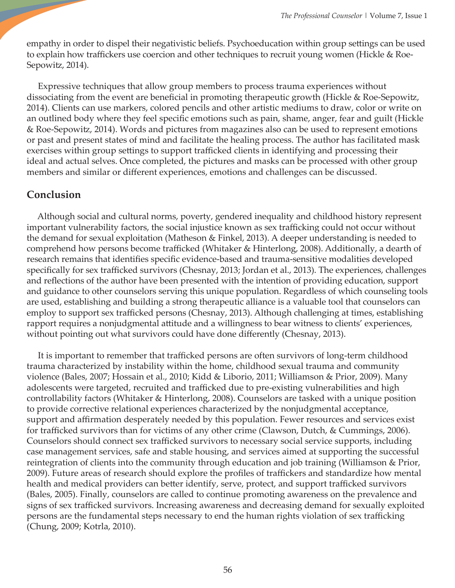empathy in order to dispel their negativistic beliefs. Psychoeducation within group settings can be used to explain how traffickers use coercion and other techniques to recruit young women (Hickle & Roe-Sepowitz, 2014).

 Expressive techniques that allow group members to process trauma experiences without dissociating from the event are beneficial in promoting therapeutic growth (Hickle & Roe-Sepowitz, 2014). Clients can use markers, colored pencils and other artistic mediums to draw, color or write on an outlined body where they feel specific emotions such as pain, shame, anger, fear and guilt (Hickle & Roe-Sepowitz, 2014). Words and pictures from magazines also can be used to represent emotions or past and present states of mind and facilitate the healing process. The author has facilitated mask exercises within group settings to support trafficked clients in identifying and processing their ideal and actual selves. Once completed, the pictures and masks can be processed with other group members and similar or different experiences, emotions and challenges can be discussed.

# **Conclusion**

 Although social and cultural norms, poverty, gendered inequality and childhood history represent important vulnerability factors, the social injustice known as sex trafficking could not occur without the demand for sexual exploitation (Matheson & Finkel, 2013). A deeper understanding is needed to comprehend how persons become trafficked (Whitaker & Hinterlong, 2008). Additionally, a dearth of research remains that identifies specific evidence-based and trauma-sensitive modalities developed specifically for sex trafficked survivors (Chesnay, 2013; Jordan et al., 2013). The experiences, challenges and reflections of the author have been presented with the intention of providing education, support and guidance to other counselors serving this unique population. Regardless of which counseling tools are used, establishing and building a strong therapeutic alliance is a valuable tool that counselors can employ to support sex trafficked persons (Chesnay, 2013). Although challenging at times, establishing rapport requires a nonjudgmental attitude and a willingness to bear witness to clients' experiences, without pointing out what survivors could have done differently (Chesnay, 2013).

 It is important to remember that trafficked persons are often survivors of long-term childhood trauma characterized by instability within the home, childhood sexual trauma and community violence (Bales, 2007; Hossain et al., 2010; Kidd & Liborio, 2011; Williamson & Prior, 2009). Many adolescents were targeted, recruited and trafficked due to pre-existing vulnerabilities and high controllability factors (Whitaker & Hinterlong, 2008). Counselors are tasked with a unique position to provide corrective relational experiences characterized by the nonjudgmental acceptance, support and affirmation desperately needed by this population. Fewer resources and services exist for trafficked survivors than for victims of any other crime (Clawson, Dutch, & Cummings, 2006). Counselors should connect sex trafficked survivors to necessary social service supports, including case management services, safe and stable housing, and services aimed at supporting the successful reintegration of clients into the community through education and job training (Williamson & Prior, 2009). Future areas of research should explore the profiles of traffickers and standardize how mental health and medical providers can better identify, serve, protect, and support trafficked survivors (Bales, 2005). Finally, counselors are called to continue promoting awareness on the prevalence and signs of sex trafficked survivors. Increasing awareness and decreasing demand for sexually exploited persons are the fundamental steps necessary to end the human rights violation of sex trafficking (Chung, 2009; Kotrla, 2010).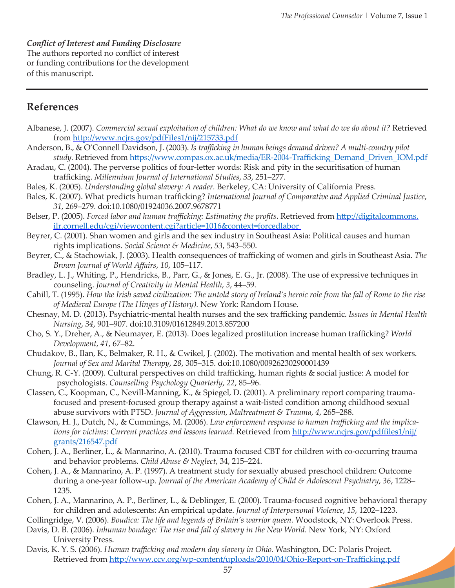*Conflict of Interest and Funding Disclosure*  The authors reported no conflict of interest or funding contributions for the development of this manuscript.

# **References**

- Albanese, J. (2007). *Commercial sexual exploitation of children: What do we know and what do we do about it?* Retrieved from <http://www.ncjrs.gov/pdfFiles1/nij/215733.pdf>
- Anderson, B., & O'Connell Davidson, J. (2003). *Is trafficking in human beings demand driven? A multi-country pilot study.* Retrieved from [https://www.compas.ox.ac.uk/media/ER-2004-Trafficking\\_Demand\\_Driven\\_IOM.pdf](https://www.compas.ox.ac.uk/media/ER-2004-Trafficking_Demand_Driven_IOM.pdf)
- Aradau, C. (2004). The perverse politics of four-letter words: Risk and pity in the securitisation of human trafficking. *Millennium Journal of International Studies*, *33*, 251–277.
- Bales, K. (2005). *Understanding global slavery: A reader.* Berkeley, CA: University of California Press.
- Bales, K. (2007). What predicts human trafficking? *International Journal of Comparative and Applied Criminal Justice*, *31*, 269–279. doi:10.1080/01924036.2007.9678771
- Belser, P. (2005). *Forced labor and human trafficking: Estimating the profits*. Retrieved from [http://digitalcommons.](http://digitalcommons.ilr.cornell.edu/cgi/viewcontent.cgi?article=1016&context=forcedlabor) [ilr.cornell.edu/cgi/viewcontent.cgi?article=1016&context=forcedlabor](http://digitalcommons.ilr.cornell.edu/cgi/viewcontent.cgi?article=1016&context=forcedlabor)
- Beyrer, C. (2001). Shan women and girls and the sex industry in Southeast Asia: Political causes and human rights implications. *Social Science & Medicine*, *53*, 543–550.
- Beyrer, C., & Stachowiak, J. (2003). Health consequences of trafficking of women and girls in Southeast Asia. *The Brown Journal of World Affairs*, *10*, 105–117.
- Bradley, L. J., Whiting, P., Hendricks, B., Parr, G., & Jones, E. G., Jr. (2008). The use of expressive techniques in counseling. *Journal of Creativity in Mental Health*, *3*, 44–59.
- Cahill, T. (1995). *How the Irish saved civilization: The untold story of Ireland's heroic role from the fall of Rome to the rise of Medieval Europe (The Hinges of History).* New York: Random House.
- Chesnay, M. D. (2013). Psychiatric-mental health nurses and the sex trafficking pandemic. *Issues in Mental Health Nursing*, *34*, 901–907. doi:10.3109/01612849.2013.857200
- Cho, S. Y., Dreher, A., & Neumayer, E. (2013). Does legalized prostitution increase human trafficking? *World Development*, *41*, 67–82.
- Chudakov, B., Ilan, K., Belmaker, R. H., & Cwikel, J. (2002). The motivation and mental health of sex workers. *Journal of Sex and Marital Therapy*, *28*, 305–315. doi:10.1080/00926230290001439
- Chung, R. C-Y. (2009). Cultural perspectives on child trafficking, human rights & social justice: A model for psychologists. *Counselling Psychology Quarterly*, *22*, 85–96.
- Classen, C., Koopman, C., Nevill-Manning, K., & Spiegel, D. (2001). A preliminary report comparing traumafocused and present-focused group therapy against a wait-listed condition among childhood sexual abuse survivors with PTSD. *Journal of Aggression, Maltreatment & Trauma*, *4*, 265–288.
- Clawson, H. J., Dutch, N., & Cummings, M. (2006). *Law enforcement response to human trafficking and the implications for victims: Current practices and lessons learned.* Retrieved from [http://www.ncjrs.gov/pdffiles1/nij/](http://www.ncjrs.gov/pdffiles1/nij/grants/216547.pdf) [grants/216547.pdf](http://www.ncjrs.gov/pdffiles1/nij/grants/216547.pdf)
- Cohen, J. A., Berliner, L., & Mannarino, A. (2010). Trauma focused CBT for children with co-occurring trauma and behavior problems. *Child Abuse & Neglect*, 34, 215–224.
- Cohen, J. A., & Mannarino, A. P. (1997). A treatment study for sexually abused preschool children: Outcome during a one-year follow-up. *Journal of the American Academy of Child & Adolescent Psychiatry*, *36*, 1228– 1235.
- Cohen, J. A., Mannarino, A. P., Berliner, L., & Deblinger, E. (2000). Trauma-focused cognitive behavioral therapy for children and adolescents: An empirical update. *Journal of Interpersonal Violence*, *15*, 1202–1223.
- Collingridge, V. (2006). *Boudica: The life and legends of Britain's warrior queen.* Woodstock, NY: Overlook Press.
- Davis, D. B. (2006). *Inhuman bondage: The rise and fall of slavery in the New World.* New York, NY: Oxford University Press.
- Davis, K. Y. S. (2006). *Human trafficking and modern day slavery in Ohio.* Washington, DC: Polaris Project. Retrieved from<http://www.ccv.org/wp-content/uploads/2010/04/Ohio-Report-on-Trafficking.pdf>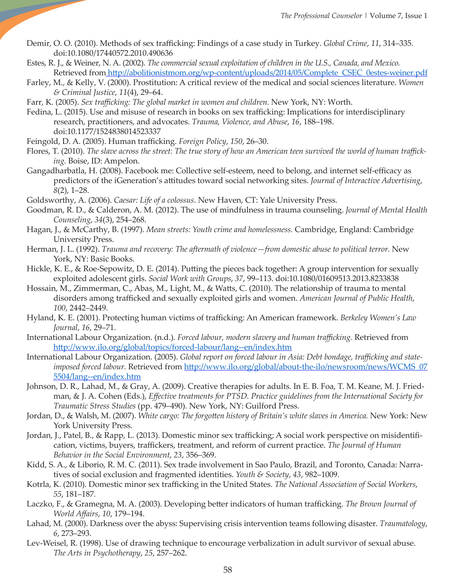- Demir, O. O. (2010). Methods of sex trafficking: Findings of a case study in Turkey. *Global Crime*, *11*, 314–335. doi:[10.1080/17440572.2010.490636](http://dx.doi.org/10.1080/17440572.2010.490636)
- Estes, R. J., & Weiner, N. A. (2002). *The commercial sexual exploitation of children in the U.S., Canada, and Mexico.*  Retrieved from [http://abolitionistmom.org/wp-content/uploads/2014/05/Complete\\_CSEC\\_0estes-weiner.pdf](http://abolitionistmom.org/wp-content/uploads/2014/05/Complete_CSEC_0estes-weiner.pdf)
- Farley, M., & Kelly, V. (2000). Prostitution: A critical review of the medical and social sciences literature. *Women & Criminal Justice*, *11*(4), 29–64.
- Farr, K. (2005). *Sex trafficking: The global market in women and children.* New York, NY: Worth.
- Fedina, L. (2015). Use and misuse of research in books on sex trafficking: Implications for interdisciplinary research, practitioners, and advocates. *Trauma, Violence, and Abuse*, *16*, 188–198. doi:10.1177/1524838014523337
- Feingold, D. A. (2005). Human trafficking. *Foreign Policy*, *150*, 26–30.
- Flores, T. (2010). *The slave across the street: The true story of how an American teen survived the world of human trafficking.* Boise, ID: Ampelon.
- Gangadharbatla, H. (2008). Facebook me: Collective self-esteem, need to belong, and internet self-efficacy as predictors of the iGeneration's attitudes toward social networking sites. *Journal of Interactive Advertising*, *8*(2), 1–28.
- Goldsworthy, A. (2006). *Caesar: Life of a colossus*. New Haven, CT: Yale University Press.
- Goodman, R. D., & Calderon, A. M. (2012). The use of mindfulness in trauma counseling. *Journal of Mental Health Counseling*, *34*(3), 254–268.
- Hagan, J., & McCarthy, B. (1997). *Mean streets: Youth crime and homelessness.* Cambridge, England: Cambridge University Press.
- Herman, J. L. (1992). *Trauma and recovery: The aftermath of violence—from domestic abuse to political terror.* New York, NY: Basic Books.
- Hickle, K. E., & Roe-Sepowitz, D. E. (2014). Putting the pieces back together: A group intervention for sexually exploited adolescent girls. *Social Work with Groups*, *37*, 99–113. doi:10.1080/01609513.2013.8233838
- Hossain, M., Zimmerman, C., Abas, M., Light, M., & Watts, C. (2010). The relationship of trauma to mental disorders among trafficked and sexually exploited girls and women. *American Journal of Public Health*, *100*, 2442–2449.
- Hyland, K. E. (2001). Protecting human victims of trafficking: An American framework. *Berkeley Women's Law Journal*, *16*, 29–71.
- International Labour Organization. (n.d.). *Forced labour, modern slavery and human trafficking.* Retrieved from <http://www.ilo.org/global/topics/forced-labour/lang--en/index.htm>
- International Labour Organization. (2005). *Global report on forced labour in Asia: Debt bondage, trafficking and stateimposed forced labour.* Retrieved from [http://www.ilo.org/global/about-the-ilo/newsroom/news/WCMS\\_07](http://www.ilo.org/global/about-the-ilo/newsroom/news/WCMS_075504/lang--en/index.htm) [5504/lang--en/index.htm](http://www.ilo.org/global/about-the-ilo/newsroom/news/WCMS_075504/lang--en/index.htm)
- Johnson, D. R., Lahad, M., & Gray, A. (2009). Creative therapies for adults. In E. B. Foa, T. M. Keane, M. J. Friedman, & J. A. Cohen (Eds.), *Effective treatments for PTSD. Practice guidelines from the International Society for Traumatic Stress Studies* (pp. 479–490)*.* New York, NY: Guilford Press.
- Jordan, D., & Walsh, M. (2007). *White cargo: The forgotten history of Britain's white slaves in America.* New York: New York University Press.
- Jordan, J., Patel, B., & Rapp, L. (2013). Domestic minor sex trafficking; A social work perspective on misidentification, victims, buyers, traffickers, treatment, and reform of current practice. *The Journal of Human Behavior in the Social Environment*, *23*, 356–369.
- Kidd, S. A., & Liborio, R. M. C. (2011). Sex trade involvement in Sao Paulo, Brazil, and Toronto, Canada: Narratives of social exclusion and fragmented identities. *Youth & Society*, *43*, 982–1009.
- Kotrla, K. (2010). Domestic minor sex trafficking in the United States. *The National Association of Social Workers*, *55*, 181–187*.*
- Laczko, F., & Gramegna, M. A. (2003). Developing better indicators of human trafficking. *The Brown Journal of World Affairs*, *10*, 179–194.
- Lahad, M. (2000). Darkness over the abyss: Supervising crisis intervention teams following disaster. *Traumatology*, *6*, 273–293.
- Lev-Weisel, R. (1998). Use of drawing technique to encourage verbalization in adult survivor of sexual abuse. *The Arts in Psychotherapy*, *25*, 257–262.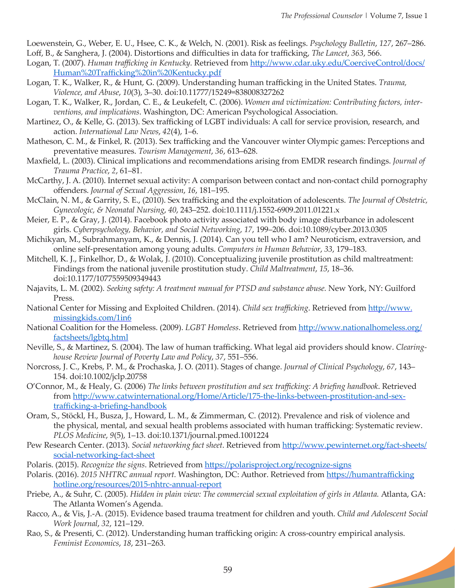Loewenstein, G., Weber, E. U., Hsee, C. K., & Welch, N. (2001). Risk as feelings. *Psychology Bulletin*, *127*, 267–286. Loff, B., & Sanghera, J. (2004). Distortions and difficulties in data for trafficking, *The Lancet*, *363*, 566.

- Logan, T. (2007). *Human trafficking in Kentucky.* Retrieved from [http://www.cdar.uky.edu/CoerciveC](http://www.cdar.uky.edu/Coercive)ontrol/docs/ Human%20Trafficking%20in%20Kentucky.pdf
- Logan, T. K., Walker, R., & Hunt, G. (2009). Understanding human trafficking in the United States. *Trauma, Violence, and Abuse*, *10*(3), 3–30. doi:10.11777/15249=838008327262
- Logan, T. K., Walker, R., Jordan, C. E., & Leukefelt, C. (2006). *Women and victimization: Contributing factors, interventions, and implications*. Washington, DC: American Psychological Association.
- Martinez, O., & Kelle, G. (2013). Sex trafficking of LGBT individuals: A call for service provision, research, and action. *International Law News*, *42*(4), 1–6.
- Matheson, C. M., & Finkel, R. (2013). Sex trafficking and the Vancouver winter Olympic games: Perceptions and preventative measures. *Tourism Management*, *36*, 613–628.
- Maxfield, L. (2003). Clinical implications and recommendations arising from EMDR research findings. *Journal of Trauma Practice*, *2*, 61–81.
- McCarthy, J. A. (2010). Internet sexual activity: A comparison between contact and non-contact child pornography offenders. *Journal of Sexual Aggression*, *16*, 181–195.
- McClain, N. M., & Garrity, S. E., (2010). Sex trafficking and the exploitation of adolescents. *The Journal of Obstetric, Gynecologic, & Neonatal Nursing*, *40*, 243–252. doi:10.1111/j.1552-6909.2011.01221.x
- Meier, E. P., & Gray, J. (2014). Facebook photo activity associated with body image disturbance in adolescent girls. *Cyberpsychology, Behavior, and Social Networking*, *17*, 199–206. doi:10.1089/cyber.2013.0305
- Michikyan, M., Subrahmanyam, K., & Dennis, J. (2014). Can you tell who I am? Neuroticism, extraversion, and online self-presentation among young adults. *Computers in Human Behavior*, *33*, 179–183.
- Mitchell, K. J., Finkelhor, D., & Wolak, J. (2010). Conceptualizing juvenile prostitution as child maltreatment: Findings from the national juvenile prostitution study. *Child Maltreatment*, *15*, 18–36. doi:10.1177/1077559509349443
- Najavits, L. M. (2002). *Seeking safety: A treatment manual for PTSD and substance abuse.* New York, NY: Guilford Press.
- National Center for Missing and Exploited Children. (2014). *Child sex trafficking*. Retrieved from [http://www.](http://www.missingkids.com/1in6) [missingkids.com/1in6](http://www.missingkids.com/1in6)
- National Coalition for the Homeless. (2009). *LGBT Homeless*. Retrieved from [http://www.nationalhomeless.org/](http://www.nationalhomeless.org/factsheets/lgbtq.html) [factsheets/lgbtq.html](http://www.nationalhomeless.org/factsheets/lgbtq.html)
- Neville, S., & Martinez, S. (2004). The law of human trafficking. What legal aid providers should know. *Clearinghouse Review Journal of Poverty Law and Policy*, *37*, 551–556.
- Norcross, J. C., Krebs, P. M., & Prochaska, J. O. (2011). Stages of change. *Journal of Clinical Psychology*, *67*, 143– 154. doi:10.1002/jclp.20758
- O'Connor, M., & Healy, G. (2006) *The links between prostitution and sex trafficking: A briefing handbook*. Retrieved from [http://www.catwinternational.org/Home/Article/175-the-links-between-prostitution-and-sex](http://www.catwinternational.org/Home/Article/175-the-links-between-prostitution-and-sex-trafficking-a-briefing-handbook)[trafficking-a-briefing-handbook](http://www.catwinternational.org/Home/Article/175-the-links-between-prostitution-and-sex-trafficking-a-briefing-handbook)
- Oram, S., Stöckl, H., Busza, J., Howard, L. M., & Zimmerman, C. (2012). Prevalence and risk of violence and the physical, mental, and sexual health problems associated with human trafficking: Systematic review. *PLOS Medicine*, *9*(5), 1–13. doi:10.1371/journal.pmed.1001224
- Pew Research Center. (2013). *Social networking fact sheet*. Retrieved from [http://www.pewinternet.org/fact-sheets/](http://www.pewinternet.org/fact-sheets/social-networking-fact-sheet/) [social-networking-fact-sheet](http://www.pewinternet.org/fact-sheets/social-networking-fact-sheet/)
- Polaris. (2015). *Recognize the signs*. Retrieved from <https://polarisproject.org/recognize-signs>
- Polaris. (2016). *2015 NHTRC annual report.* Washington, DC: Author. Retrieved from [https://humantrafficking](https://humantraffickinghotline.org/resources/2015-nhtrc-annual-report) [hotline.org/resources/2015-nhtrc-annual-report](https://humantraffickinghotline.org/resources/2015-nhtrc-annual-report)
- Priebe, A., & Suhr, C. (2005). *Hidden in plain view: The commercial sexual exploitation of girls in Atlanta.* Atlanta, GA: The Atlanta Women's Agenda.
- Racco, A., & Vis, J.-A. (2015). Evidence based trauma treatment for children and youth. *Child and Adolescent Social Work Journal*, *32*, 121–129.
- Rao, S., & Presenti, C. (2012). Understanding human trafficking origin: A cross-country empirical analysis. *Feminist Economics*, *18*, 231–263.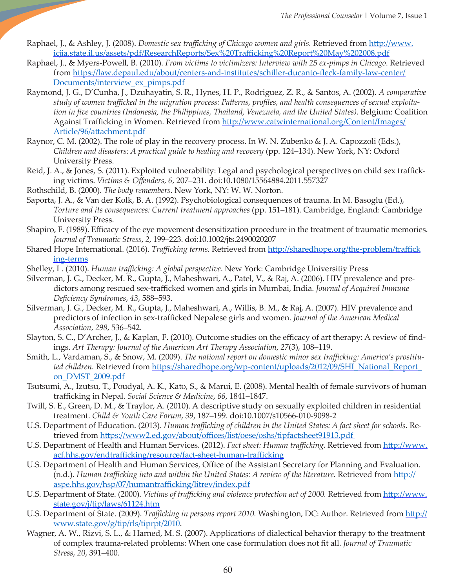- Raphael, J., & Ashley, J. (2008). *Domestic sex trafficking of Chicago women and girls.* Retrieved from [http://www.](http://www.icjia.state.il.us/assets/pdf/ResearchReports/Sex%20Trafficking%20Report%20May%202008.pdf) [icjia.state.il.us/assets/pdf/ResearchReports/Sex%20Trafficking%20Report%20May%202008.pdf](http://www.icjia.state.il.us/assets/pdf/ResearchReports/Sex%20Trafficking%20Report%20May%202008.pdf)
- Raphael, J., & Myers-Powell, B. (2010). *From victims to victimizers: Interview with 25 ex-pimps in Chicago*. Retrieved from [https://law.depaul.edu/about/centers-and-institutes/schiller-ducanto-fleck-family-law-center/](https://law.depaul.edu/about/centers-and-institutes/schiller-ducanto-fleck-family-law-center/Documents/interview_ex_pimps.pdf) [Documents/interview\\_ex\\_pimps.pdf](https://law.depaul.edu/about/centers-and-institutes/schiller-ducanto-fleck-family-law-center/Documents/interview_ex_pimps.pdf)
- Raymond, J. G., D'Cunha, J., Dzuhayatin, S. R., Hynes, H. P., Rodriguez, Z. R., & Santos, A. (2002). *A comparative study of women trafficked in the migration process: Patterns, profiles, and health consequences of sexual exploitation in five countries (Indonesia, the Philippines, Thailand, Venezuela, and the United States)*. Belgium: Coalition Against Trafficking in Women. Retrieved from [http://www.catwinternational.org/Content/Images/](http://www.catwinternational.org/Content/Images/Article/96/attachment.pdf) [Article/96/attachment.pdf](http://www.catwinternational.org/Content/Images/Article/96/attachment.pdf)
- Raynor, C. M. (2002). The role of play in the recovery process. In W. N. Zubenko & J. A. Capozzoli (Eds.), *Children and disasters: A practical guide to healing and recovery* (pp. 124–134). New York, NY: Oxford University Press.
- Reid, J. A., & Jones, S. (2011). Exploited vulnerability: Legal and psychological perspectives on child sex trafficking victims. *Victims & Offenders*, *6*, 207–231. doi:10.1080/15564884.2011.557327
- Rothschild, B. (2000). *The body remembers.* New York, NY: W. W. Norton.
- Saporta, J. A., & Van der Kolk, B. A. (1992). Psychobiological consequences of trauma. In M. Basoglu (Ed.), *Torture and its consequences: Current treatment approaches* (pp. 151–181). Cambridge, England: Cambridge University Press.
- Shapiro, F. (1989). Efficacy of the eye movement desensitization procedure in the treatment of traumatic memories. *Journal of Traumatic Stress*, *2*, 199–223. doi:10.1002/jts.2490020207
- Shared Hope International. (2016). *Trafficking terms.* Retrieved from [http://sharedhope.org/the-problem/traffick](http://sharedhope.org/the-problem/trafficking-terms/) [ing-terms](http://sharedhope.org/the-problem/trafficking-terms/)
- Shelley, L. (2010). *Human trafficking: A global perspective*. New York: Cambridge Universitiy Press
- Silverman, J. G., Decker, M. R., Gupta, J., Maheshwari, A., Patel, V., & Raj, A. (2006). HIV prevalence and predictors among rescued sex-trafficked women and girls in Mumbai, India. *Journal of Acquired Immune Deficiency Syndromes*, *43*, 588–593.
- Silverman, J. G., Decker, M. R., Gupta, J., Maheshwari, A., Willis, B. M., & Raj, A. (2007). HIV prevalence and predictors of infection in sex-trafficked Nepalese girls and women. *Journal of the American Medical Association*, *298*, 536–542.
- Slayton, S. C., D'Archer, J., & Kaplan, F. (2010). Outcome studies on the efficacy of art therapy: A review of findings. *Art Therapy: Journal of the American Art Therapy Association*, *27*(3), 108–119.
- Smith, L., Vardaman, S., & Snow, M. (2009). *The national report on domestic minor sex trafficking: America's prostituted children.* Retrieved from [https://sharedhope.org/wp-content/uploads](https://sharedhope.org/wp-content/uploads/2012/09/SHI_National_Report_on_DMST_2009.pdf)/2012/09/SHI\_National\_Report\_ on\_DMST\_2009.pdf
- Tsutsumi, A., Izutsu, T., Poudyal, A. K., Kato, S., & Marui, E. (2008). Mental health of female survivors of human trafficking in Nepal. *Social Science & Medicine*, *66*, 1841–1847.
- Twill, S. E., Green, D. M., & Traylor, A. (2010). A descriptive study on sexually exploited children in residential treatment. *Child & Youth Care Forum*, *39*, 187–199. doi:10.1007/s10566-010-9098-2
- U.S. Department of Education. (2013). *Human trafficking of children in the United States: A fact sheet for schools.* Retrieved from <https://www2.ed.gov/about/offices/list/oese/oshs/tipfactsheet91913.pdf>
- U.S. Department of Health and Human Services. (2012). *Fact sheet: Human trafficking.* Retrieved from [http://www.](http://www.acf.hhs.gov/endtrafficking/resource/fact-sheet-human-trafficking) [acf.hhs.gov/endtrafficking/resource/fact-sheet-human-trafficking](http://www.acf.hhs.gov/endtrafficking/resource/fact-sheet-human-trafficking)
- U.S. Department of Health and Human Services, Office of the Assistant Secretary for Planning and Evaluation. (n.d.). *Human trafficking into and within the United States: A review of the literature. Retrieved from [http://](http://aspe.hhs.gov/hsp/07/humantrafficking/litrev/index.pdf)* [aspe.hhs.gov/hsp/07/humantrafficking/litrev/index.pdf](http://aspe.hhs.gov/hsp/07/humantrafficking/litrev/index.pdf)
- U.S. Department of State. (2000). *Victims of trafficking and violence protection act of 2000.* Retrieved from [http](http://www.state.gov/j/tip/laws/61124.htm)[://www.](http://www.state.gov/j/tip/laws/61124.htm) [state.gov/j/tip/laws/61124.](http://www.state.gov/j/tip/laws/61124.htm)[htm](http://www.state.gov/j/tip/laws/61124.htm)
- U.S. Department of State. (2009). *Trafficking in persons report 2010.* Washington, DC: Author. Retrieved from [http://](http://www.state.gov/g/tip/rls/tiprpt/2010) [www.state.gov/g/tip/rls/tiprpt/2010](http://www.state.gov/g/tip/rls/tiprpt/2010).
- Wagner, A. W., Rizvi, S. L., & Harned, M. S. (2007). Applications of dialectical behavior therapy to the treatment of complex trauma-related problems: When one case formulation does not fit all. *Journal of Traumatic Stress*, *20*, 391–400.